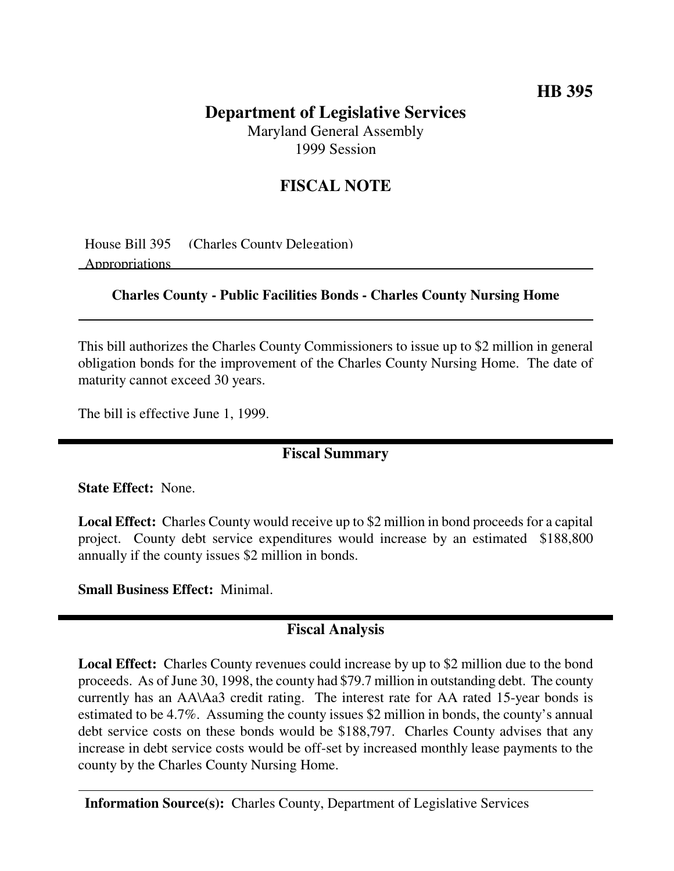## **HB 395**

# **Department of Legislative Services**

Maryland General Assembly 1999 Session

## **FISCAL NOTE**

House Bill 395 (Charles County Delegation) Appropriations

#### **Charles County - Public Facilities Bonds - Charles County Nursing Home**

This bill authorizes the Charles County Commissioners to issue up to \$2 million in general obligation bonds for the improvement of the Charles County Nursing Home. The date of maturity cannot exceed 30 years.

The bill is effective June 1, 1999.

#### **Fiscal Summary**

**State Effect:** None.

**Local Effect:** Charles County would receive up to \$2 million in bond proceeds for a capital project. County debt service expenditures would increase by an estimated \$188,800 annually if the county issues \$2 million in bonds.

**Small Business Effect:** Minimal.

### **Fiscal Analysis**

**Local Effect:** Charles County revenues could increase by up to \$2 million due to the bond proceeds. As of June 30, 1998, the county had \$79.7 million in outstanding debt. The county currently has an AA\Aa3 credit rating. The interest rate for AA rated 15-year bonds is estimated to be 4.7%. Assuming the county issues \$2 million in bonds, the county's annual debt service costs on these bonds would be \$188,797. Charles County advises that any increase in debt service costs would be off-set by increased monthly lease payments to the county by the Charles County Nursing Home.

**Information Source(s):** Charles County, Department of Legislative Services